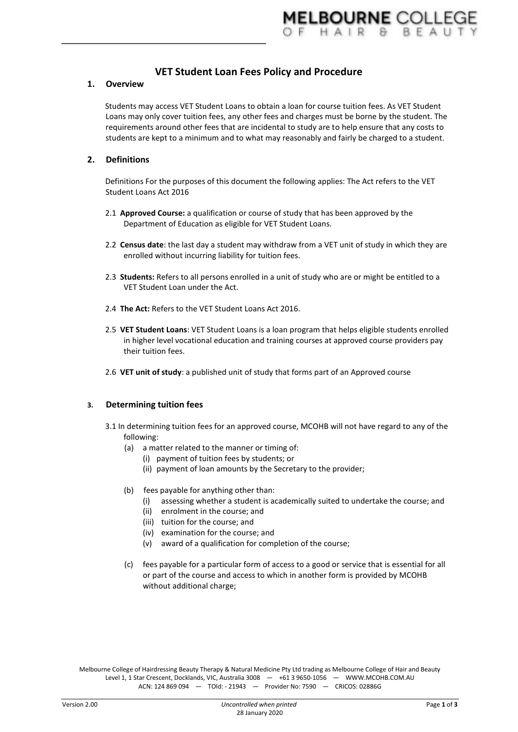# **VET Student Loan Fees Policy and Procedure**

### **1. Overview**

Students may access VET Student Loans to obtain a loan for course tuition fees. As VET Student Loans may only cover tuition fees, any other fees and charges must be borne by the student. The requirements around other fees that are incidental to study are to help ensure that any costs to students are kept to a minimum and to what may reasonably and fairly be charged to a student.

# **2. Definitions**

Definitions For the purposes of this document the following applies: The Act refers to the VET Student Loans Act 2016

- 2.1 **Approved Course:** a qualification or course of study that has been approved by the Department of Education as eligible for VET Student Loans.
- 2.2 **Census date**: the last day a student may withdraw from a VET unit of study in which they are enrolled without incurring liability for tuition fees.
- 2.3 **Students:** Refers to all persons enrolled in a unit of study who are or might be entitled to a VET Student Loan under the Act.
- 2.4 **The Act:** Refers to the VET Student Loans Act 2016.
- 2.5 **VET Student Loans**: VET Student Loans is a loan program that helps eligible students enrolled in higher level vocational education and training courses at approved course providers pay their tuition fees.
- 2.6 **VET unit of study**: a published unit of study that forms part of an Approved course

# **3. Determining tuition fees**

- 3.1 In determining tuition fees for an approved course, MCOHB will not have regard to any of the following:
	- (a) a matter related to the manner or timing of:
		- (i) payment of tuition fees by students; or
		- (ii) payment of loan amounts by the Secretary to the provider;
	- (b) fees payable for anything other than:
		- (i) assessing whether a student is academically suited to undertake the course; and
		- (ii) enrolment in the course; and
		- (iii) tuition for the course; and
		- (iv) examination for the course; and
		- (v) award of a qualification for completion of the course;
	- (c) fees payable for a particular form of access to a good or service that is essential for all or part of the course and access to which in another form is provided by MCOHB without additional charge;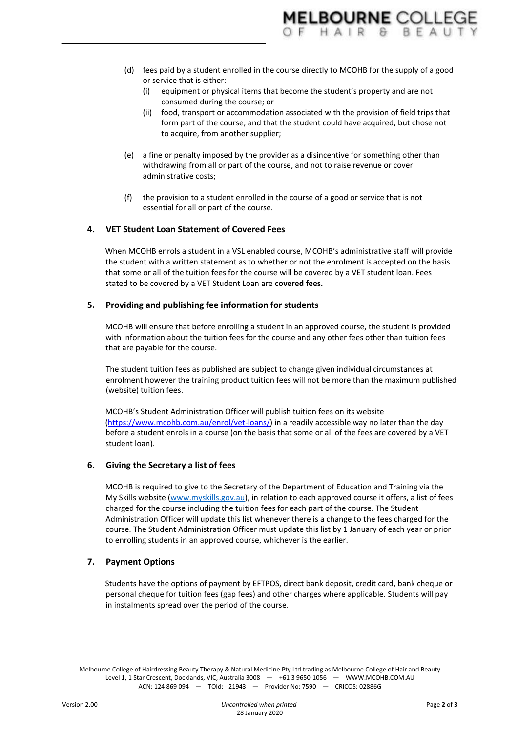- (d) fees paid by a student enrolled in the course directly to MCOHB for the supply of a good or service that is either:
	- (i) equipment or physical items that become the student's property and are not consumed during the course; or
	- (ii) food, transport or accommodation associated with the provision of field trips that form part of the course; and that the student could have acquired, but chose not to acquire, from another supplier;
- (e) a fine or penalty imposed by the provider as a disincentive for something other than withdrawing from all or part of the course, and not to raise revenue or cover administrative costs;
- (f) the provision to a student enrolled in the course of a good or service that is not essential for all or part of the course.

# **4. VET Student Loan Statement of Covered Fees**

When MCOHB enrols a student in a VSL enabled course, MCOHB's administrative staff will provide the student with a written statement as to whether or not the enrolment is accepted on the basis that some or all of the tuition fees for the course will be covered by a VET student loan. Fees stated to be covered by a VET Student Loan are **covered fees.**

### **5. Providing and publishing fee information for students**

MCOHB will ensure that before enrolling a student in an approved course, the student is provided with information about the tuition fees for the course and any other fees other than tuition fees that are payable for the course.

The student tuition fees as published are subject to change given individual circumstances at enrolment however the training product tuition fees will not be more than the maximum published (website) tuition fees.

MCOHB's Student Administration Officer will publish tuition fees on its website [\(https://www.mcohb.com.au/enrol/vet-loans/\)](https://www.mcohb.com.au/enrol/vet-loans/) in a readily accessible way no later than the day before a student enrols in a course (on the basis that some or all of the fees are covered by a VET student loan).

# **6. Giving the Secretary a list of fees**

MCOHB is required to give to the Secretary of the Department of Education and Training via the My Skills website [\(www.myskills.gov.au\)](http://www.myskills.gov.au/), in relation to each approved course it offers, a list of fees charged for the course including the tuition fees for each part of the course. The Student Administration Officer will update this list whenever there is a change to the fees charged for the course. The Student Administration Officer must update this list by 1 January of each year or prior to enrolling students in an approved course, whichever is the earlier.

# **7. Payment Options**

Students have the options of payment by EFTPOS, direct bank deposit, credit card, bank cheque or personal cheque for tuition fees (gap fees) and other charges where applicable. Students will pay in instalments spread over the period of the course.

Melbourne College of Hairdressing Beauty Therapy & Natural Medicine Pty Ltd trading as Melbourne College of Hair and Beauty Level 1, 1 Star Crescent, Docklands, VIC, Australia 3008 — +61 3 9650-1056 — WWW.MCOHB.COM.AU ACN: 124 869 094 — TOId: - 21943 — Provider No: 7590 — CRICOS: 02886G